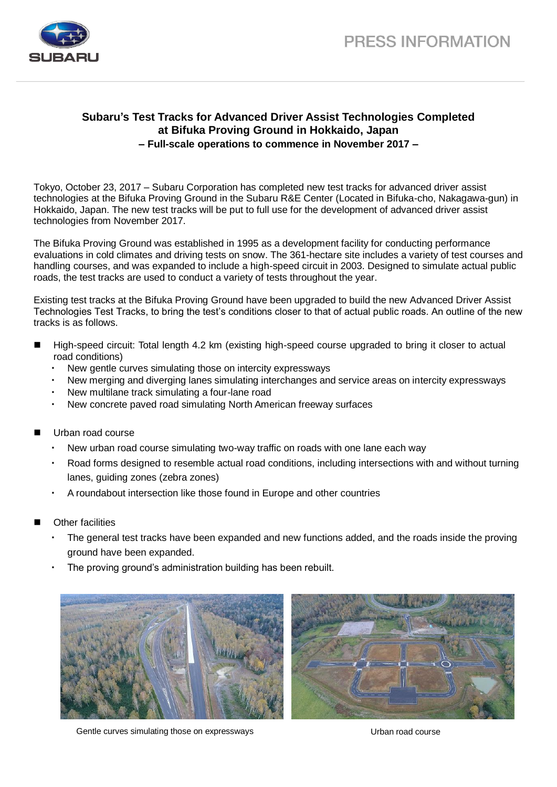

## **Subaru's Test Tracks for Advanced Driver Assist Technologies Completed at Bifuka Proving Ground in Hokkaido, Japan – Full-scale operations to commence in November 2017 –**

Tokyo, October 23, 2017 – Subaru Corporation has completed new test tracks for advanced driver assist technologies at the Bifuka Proving Ground in the Subaru R&E Center (Located in Bifuka-cho, Nakagawa-gun) in Hokkaido, Japan. The new test tracks will be put to full use for the development of advanced driver assist technologies from November 2017.

The Bifuka Proving Ground was established in 1995 as a development facility for conducting performance evaluations in cold climates and driving tests on snow. The 361-hectare site includes a variety of test courses and handling courses, and was expanded to include a high-speed circuit in 2003. Designed to simulate actual public roads, the test tracks are used to conduct a variety of tests throughout the year.

Existing test tracks at the Bifuka Proving Ground have been upgraded to build the new Advanced Driver Assist Technologies Test Tracks, to bring the test's conditions closer to that of actual public roads. An outline of the new tracks is as follows.

- High-speed circuit: Total length 4.2 km (existing high-speed course upgraded to bring it closer to actual road conditions)
	- New gentle curves simulating those on intercity expressways
	- New merging and diverging lanes simulating interchanges and service areas on intercity expressways
	- New multilane track simulating a four-lane road
	- New concrete paved road simulating North American freeway surfaces
- Urban road course
	- New urban road course simulating two-way traffic on roads with one lane each way
	- Road forms designed to resemble actual road conditions, including intersections with and without turning lanes, guiding zones (zebra zones)
	- A roundabout intersection like those found in Europe and other countries
- Other facilities
	- The general test tracks have been expanded and new functions added, and the roads inside the proving ground have been expanded.
	- The proving ground's administration building has been rebuilt.



Gentle curves simulating those on expressways The Course Urban road course